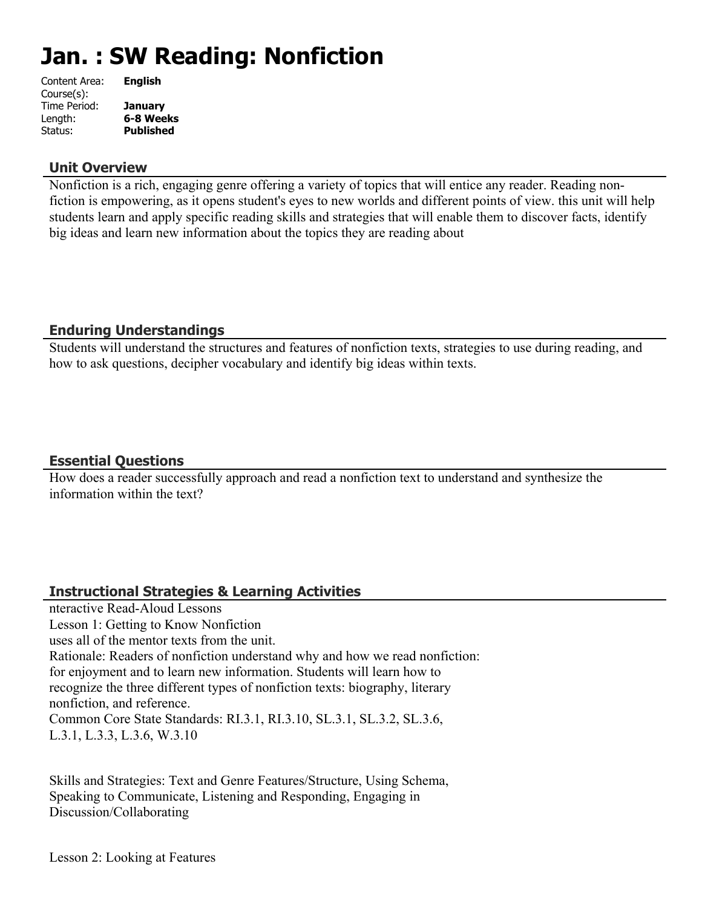# **Jan. : SW Reading: Nonfiction**

| Content Area: | <b>English</b>   |
|---------------|------------------|
| Course(s):    |                  |
| Time Period:  | <b>January</b>   |
| Length:       | 6-8 Weeks        |
| Status:       | <b>Published</b> |
|               |                  |

#### **Unit Overview**

Nonfiction is a rich, engaging genre offering a variety of topics that will entice any reader. Reading nonfiction is empowering, as it opens student's eyes to new worlds and different points of view. this unit will help students learn and apply specific reading skills and strategies that will enable them to discover facts, identify big ideas and learn new information about the topics they are reading about

# **Enduring Understandings**

Students will understand the structures and features of nonfiction texts, strategies to use during reading, and how to ask questions, decipher vocabulary and identify big ideas within texts.

# **Essential Questions**

How does a reader successfully approach and read a nonfiction text to understand and synthesize the information within the text?

# **Instructional Strategies & Learning Activities**

nteractive Read-Aloud Lessons Lesson 1: Getting to Know Nonfiction uses all of the mentor texts from the unit. Rationale: Readers of nonfiction understand why and how we read nonfiction: for enjoyment and to learn new information. Students will learn how to recognize the three different types of nonfiction texts: biography, literary nonfiction, and reference. Common Core State Standards: RI.3.1, RI.3.10, SL.3.1, SL.3.2, SL.3.6, L.3.1, L.3.3, L.3.6, W.3.10

Skills and Strategies: Text and Genre Features/Structure, Using Schema, Speaking to Communicate, Listening and Responding, Engaging in Discussion/Collaborating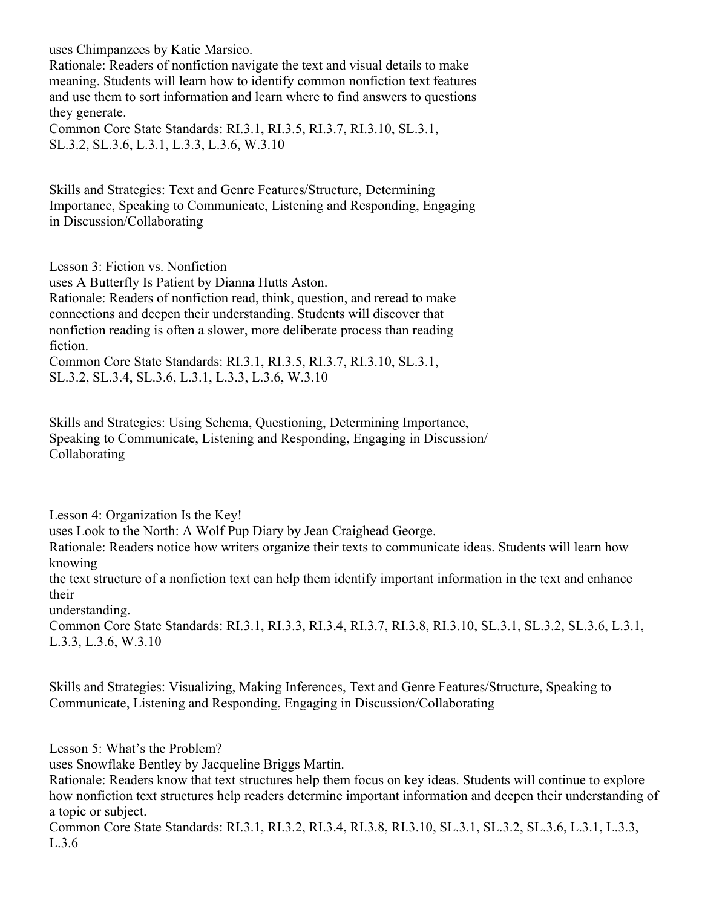uses Chimpanzees by Katie Marsico.

Rationale: Readers of nonfiction navigate the text and visual details to make meaning. Students will learn how to identify common nonfiction text features and use them to sort information and learn where to find answers to questions they generate.

Common Core State Standards: RI.3.1, RI.3.5, RI.3.7, RI.3.10, SL.3.1, SL.3.2, SL.3.6, L.3.1, L.3.3, L.3.6, W.3.10

Skills and Strategies: Text and Genre Features/Structure, Determining Importance, Speaking to Communicate, Listening and Responding, Engaging in Discussion/Collaborating

Lesson 3: Fiction vs. Nonfiction

uses A Butterfly Is Patient by Dianna Hutts Aston.

Rationale: Readers of nonfiction read, think, question, and reread to make connections and deepen their understanding. Students will discover that nonfiction reading is often a slower, more deliberate process than reading fiction.

Common Core State Standards: RI.3.1, RI.3.5, RI.3.7, RI.3.10, SL.3.1, SL.3.2, SL.3.4, SL.3.6, L.3.1, L.3.3, L.3.6, W.3.10

Skills and Strategies: Using Schema, Questioning, Determining Importance, Speaking to Communicate, Listening and Responding, Engaging in Discussion/ Collaborating

Lesson 4: Organization Is the Key!

uses Look to the North: A Wolf Pup Diary by Jean Craighead George.

Rationale: Readers notice how writers organize their texts to communicate ideas. Students will learn how knowing

the text structure of a nonfiction text can help them identify important information in the text and enhance their

understanding.

Common Core State Standards: RI.3.1, RI.3.3, RI.3.4, RI.3.7, RI.3.8, RI.3.10, SL.3.1, SL.3.2, SL.3.6, L.3.1, L.3.3, L.3.6, W.3.10

Skills and Strategies: Visualizing, Making Inferences, Text and Genre Features/Structure, Speaking to Communicate, Listening and Responding, Engaging in Discussion/Collaborating

Lesson 5: What's the Problem?

uses Snowflake Bentley by Jacqueline Briggs Martin.

Rationale: Readers know that text structures help them focus on key ideas. Students will continue to explore how nonfiction text structures help readers determine important information and deepen their understanding of a topic or subject.

Common Core State Standards: RI.3.1, RI.3.2, RI.3.4, RI.3.8, RI.3.10, SL.3.1, SL.3.2, SL.3.6, L.3.1, L.3.3, L.3.6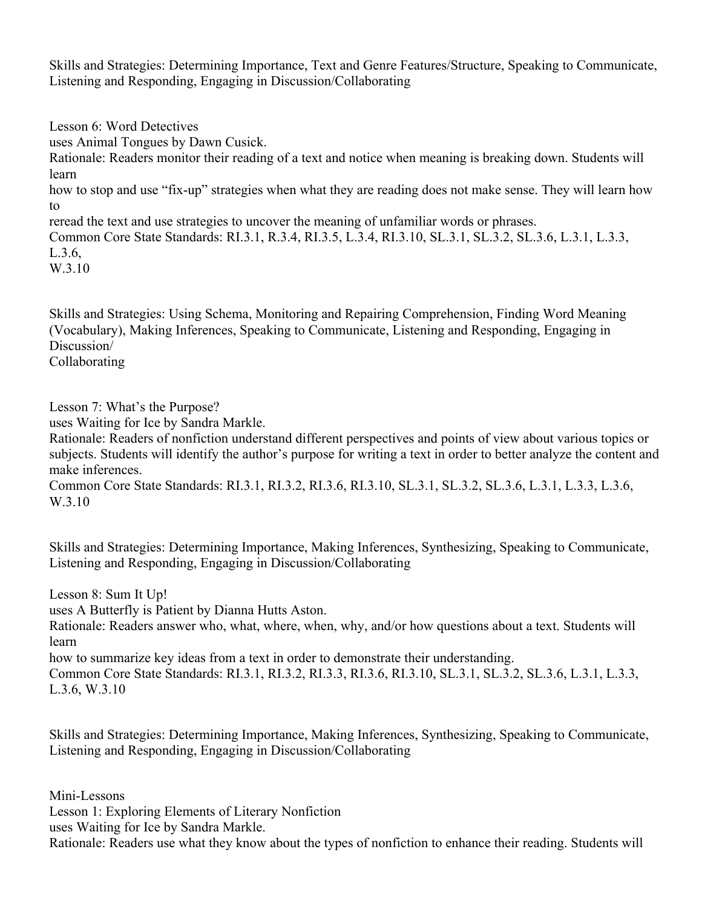Skills and Strategies: Determining Importance, Text and Genre Features/Structure, Speaking to Communicate, Listening and Responding, Engaging in Discussion/Collaborating

Lesson 6: Word Detectives

uses Animal Tongues by Dawn Cusick.

Rationale: Readers monitor their reading of a text and notice when meaning is breaking down. Students will learn

how to stop and use "fix-up" strategies when what they are reading does not make sense. They will learn how to

reread the text and use strategies to uncover the meaning of unfamiliar words or phrases.

Common Core State Standards: RI.3.1, R.3.4, RI.3.5, L.3.4, RI.3.10, SL.3.1, SL.3.2, SL.3.6, L.3.1, L.3.3, L.3.6,

W.3.10

Skills and Strategies: Using Schema, Monitoring and Repairing Comprehension, Finding Word Meaning (Vocabulary), Making Inferences, Speaking to Communicate, Listening and Responding, Engaging in Discussion/

Collaborating

Lesson 7: What's the Purpose?

uses Waiting for Ice by Sandra Markle.

Rationale: Readers of nonfiction understand different perspectives and points of view about various topics or subjects. Students will identify the author's purpose for writing a text in order to better analyze the content and make inferences.

Common Core State Standards: RI.3.1, RI.3.2, RI.3.6, RI.3.10, SL.3.1, SL.3.2, SL.3.6, L.3.1, L.3.3, L.3.6, W.3.10

Skills and Strategies: Determining Importance, Making Inferences, Synthesizing, Speaking to Communicate, Listening and Responding, Engaging in Discussion/Collaborating

Lesson 8: Sum It Up!

uses A Butterfly is Patient by Dianna Hutts Aston.

Rationale: Readers answer who, what, where, when, why, and/or how questions about a text. Students will learn

how to summarize key ideas from a text in order to demonstrate their understanding.

Common Core State Standards: RI.3.1, RI.3.2, RI.3.3, RI.3.6, RI.3.10, SL.3.1, SL.3.2, SL.3.6, L.3.1, L.3.3, L.3.6, W.3.10

Skills and Strategies: Determining Importance, Making Inferences, Synthesizing, Speaking to Communicate, Listening and Responding, Engaging in Discussion/Collaborating

Mini-Lessons Lesson 1: Exploring Elements of Literary Nonfiction uses Waiting for Ice by Sandra Markle. Rationale: Readers use what they know about the types of nonfiction to enhance their reading. Students will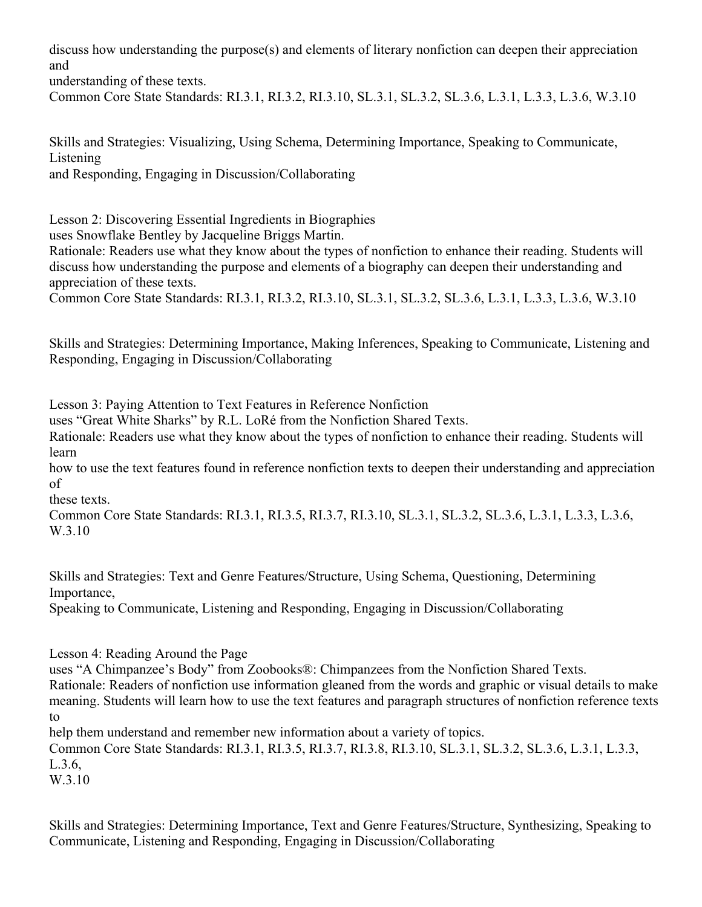discuss how understanding the purpose(s) and elements of literary nonfiction can deepen their appreciation and

understanding of these texts.

Common Core State Standards: RI.3.1, RI.3.2, RI.3.10, SL.3.1, SL.3.2, SL.3.6, L.3.1, L.3.3, L.3.6, W.3.10

Skills and Strategies: Visualizing, Using Schema, Determining Importance, Speaking to Communicate, Listening

and Responding, Engaging in Discussion/Collaborating

Lesson 2: Discovering Essential Ingredients in Biographies

uses Snowflake Bentley by Jacqueline Briggs Martin.

Rationale: Readers use what they know about the types of nonfiction to enhance their reading. Students will discuss how understanding the purpose and elements of a biography can deepen their understanding and appreciation of these texts.

Common Core State Standards: RI.3.1, RI.3.2, RI.3.10, SL.3.1, SL.3.2, SL.3.6, L.3.1, L.3.3, L.3.6, W.3.10

Skills and Strategies: Determining Importance, Making Inferences, Speaking to Communicate, Listening and Responding, Engaging in Discussion/Collaborating

Lesson 3: Paying Attention to Text Features in Reference Nonfiction

uses "Great White Sharks" by R.L. LoRé from the Nonfiction Shared Texts.

Rationale: Readers use what they know about the types of nonfiction to enhance their reading. Students will learn

how to use the text features found in reference nonfiction texts to deepen their understanding and appreciation of

these texts.

Common Core State Standards: RI.3.1, RI.3.5, RI.3.7, RI.3.10, SL.3.1, SL.3.2, SL.3.6, L.3.1, L.3.3, L.3.6, W.3.10

Skills and Strategies: Text and Genre Features/Structure, Using Schema, Questioning, Determining Importance,

Speaking to Communicate, Listening and Responding, Engaging in Discussion/Collaborating

Lesson 4: Reading Around the Page

uses "A Chimpanzee's Body" from Zoobooks®: Chimpanzees from the Nonfiction Shared Texts.

Rationale: Readers of nonfiction use information gleaned from the words and graphic or visual details to make meaning. Students will learn how to use the text features and paragraph structures of nonfiction reference texts to

help them understand and remember new information about a variety of topics.

Common Core State Standards: RI.3.1, RI.3.5, RI.3.7, RI.3.8, RI.3.10, SL.3.1, SL.3.2, SL.3.6, L.3.1, L.3.3, L.3.6,

W.3.10

Skills and Strategies: Determining Importance, Text and Genre Features/Structure, Synthesizing, Speaking to Communicate, Listening and Responding, Engaging in Discussion/Collaborating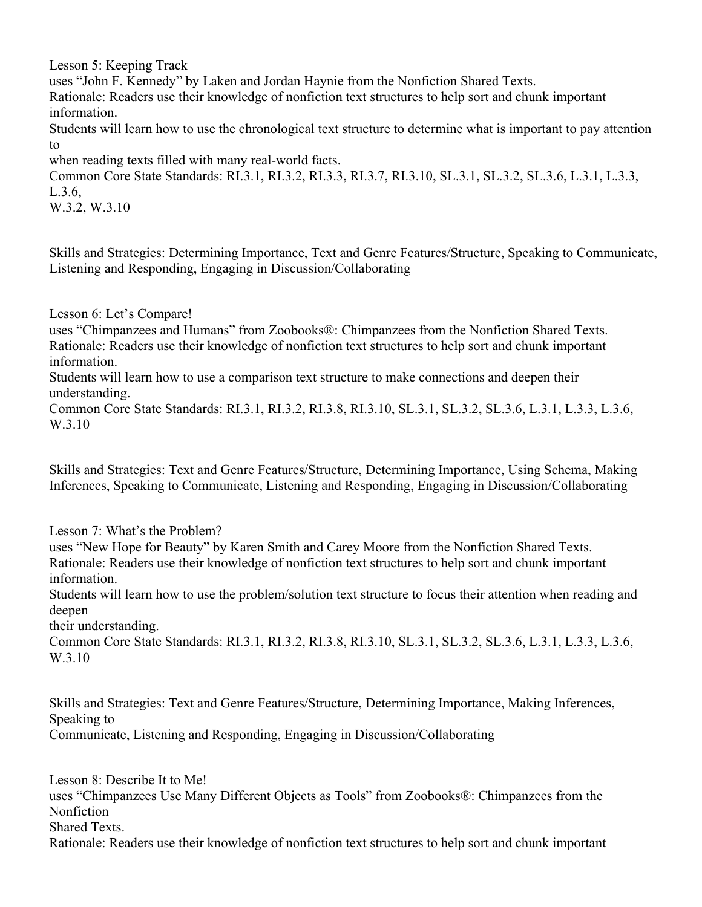Lesson 5: Keeping Track

uses "John F. Kennedy" by Laken and Jordan Haynie from the Nonfiction Shared Texts.

Rationale: Readers use their knowledge of nonfiction text structures to help sort and chunk important information.

Students will learn how to use the chronological text structure to determine what is important to pay attention to

when reading texts filled with many real-world facts.

Common Core State Standards: RI.3.1, RI.3.2, RI.3.3, RI.3.7, RI.3.10, SL.3.1, SL.3.2, SL.3.6, L.3.1, L.3.3, L.3.6,

W.3.2, W.3.10

Skills and Strategies: Determining Importance, Text and Genre Features/Structure, Speaking to Communicate, Listening and Responding, Engaging in Discussion/Collaborating

Lesson 6: Let's Compare!

uses "Chimpanzees and Humans" from Zoobooks®: Chimpanzees from the Nonfiction Shared Texts. Rationale: Readers use their knowledge of nonfiction text structures to help sort and chunk important information.

Students will learn how to use a comparison text structure to make connections and deepen their understanding.

Common Core State Standards: RI.3.1, RI.3.2, RI.3.8, RI.3.10, SL.3.1, SL.3.2, SL.3.6, L.3.1, L.3.3, L.3.6, W.3.10

Skills and Strategies: Text and Genre Features/Structure, Determining Importance, Using Schema, Making Inferences, Speaking to Communicate, Listening and Responding, Engaging in Discussion/Collaborating

Lesson 7: What's the Problem?

uses "New Hope for Beauty" by Karen Smith and Carey Moore from the Nonfiction Shared Texts. Rationale: Readers use their knowledge of nonfiction text structures to help sort and chunk important information.

Students will learn how to use the problem/solution text structure to focus their attention when reading and deepen

their understanding.

Common Core State Standards: RI.3.1, RI.3.2, RI.3.8, RI.3.10, SL.3.1, SL.3.2, SL.3.6, L.3.1, L.3.3, L.3.6, W.3.10

Skills and Strategies: Text and Genre Features/Structure, Determining Importance, Making Inferences, Speaking to

Communicate, Listening and Responding, Engaging in Discussion/Collaborating

Lesson 8: Describe It to Me!

uses "Chimpanzees Use Many Different Objects as Tools" from Zoobooks®: Chimpanzees from the Nonfiction

Shared Texts.

Rationale: Readers use their knowledge of nonfiction text structures to help sort and chunk important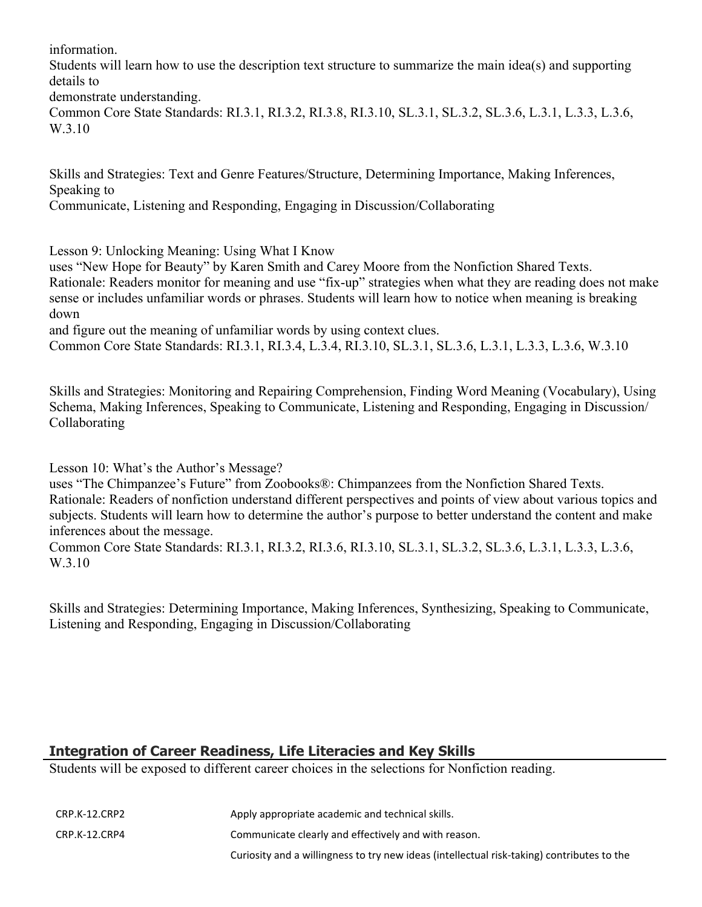information.

Students will learn how to use the description text structure to summarize the main idea(s) and supporting details to

demonstrate understanding.

Common Core State Standards: RI.3.1, RI.3.2, RI.3.8, RI.3.10, SL.3.1, SL.3.2, SL.3.6, L.3.1, L.3.3, L.3.6, W.3.10

Skills and Strategies: Text and Genre Features/Structure, Determining Importance, Making Inferences, Speaking to

Communicate, Listening and Responding, Engaging in Discussion/Collaborating

Lesson 9: Unlocking Meaning: Using What I Know

uses "New Hope for Beauty" by Karen Smith and Carey Moore from the Nonfiction Shared Texts. Rationale: Readers monitor for meaning and use "fix-up" strategies when what they are reading does not make sense or includes unfamiliar words or phrases. Students will learn how to notice when meaning is breaking down

and figure out the meaning of unfamiliar words by using context clues.

Common Core State Standards: RI.3.1, RI.3.4, L.3.4, RI.3.10, SL.3.1, SL.3.6, L.3.1, L.3.3, L.3.6, W.3.10

Skills and Strategies: Monitoring and Repairing Comprehension, Finding Word Meaning (Vocabulary), Using Schema, Making Inferences, Speaking to Communicate, Listening and Responding, Engaging in Discussion/ Collaborating

Lesson 10: What's the Author's Message?

uses "The Chimpanzee's Future" from Zoobooks®: Chimpanzees from the Nonfiction Shared Texts. Rationale: Readers of nonfiction understand different perspectives and points of view about various topics and subjects. Students will learn how to determine the author's purpose to better understand the content and make inferences about the message.

Common Core State Standards: RI.3.1, RI.3.2, RI.3.6, RI.3.10, SL.3.1, SL.3.2, SL.3.6, L.3.1, L.3.3, L.3.6, W.3.10

Skills and Strategies: Determining Importance, Making Inferences, Synthesizing, Speaking to Communicate, Listening and Responding, Engaging in Discussion/Collaborating

# **Integration of Career Readiness, Life Literacies and Key Skills**

Students will be exposed to different career choices in the selections for Nonfiction reading.

| CRP.K-12.CRP2 | Apply appropriate academic and technical skills.                                           |
|---------------|--------------------------------------------------------------------------------------------|
| CRP.K-12.CRP4 | Communicate clearly and effectively and with reason.                                       |
|               | Curiosity and a willingness to try new ideas (intellectual risk-taking) contributes to the |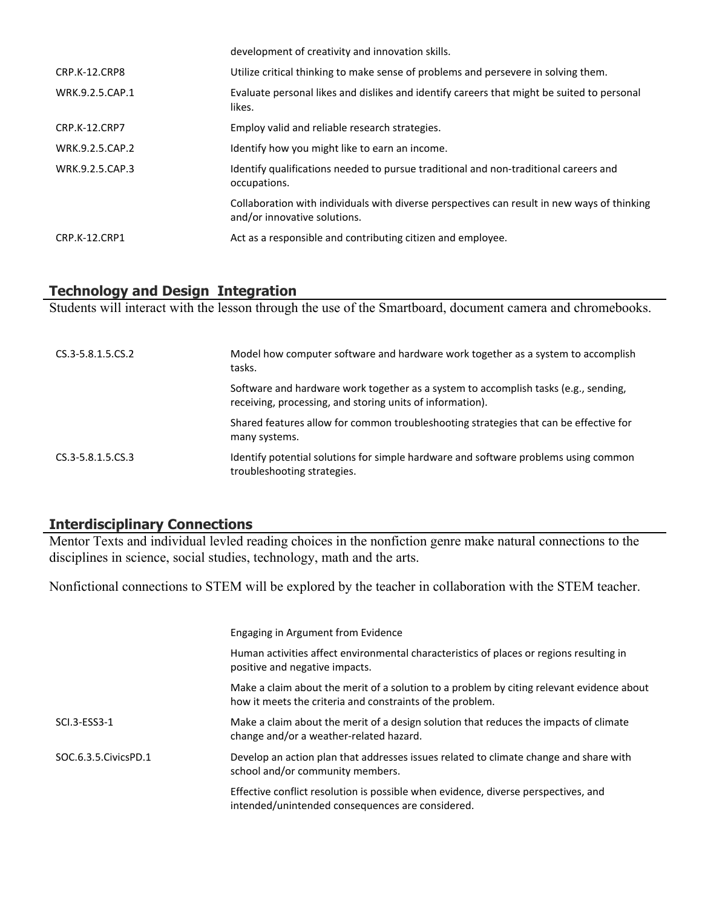|                      | development of creativity and innovation skills.                                                                            |
|----------------------|-----------------------------------------------------------------------------------------------------------------------------|
| CRP.K-12.CRP8        | Utilize critical thinking to make sense of problems and persevere in solving them.                                          |
| WRK.9.2.5.CAP.1      | Evaluate personal likes and dislikes and identify careers that might be suited to personal<br>likes.                        |
| <b>CRP.K-12.CRP7</b> | Employ valid and reliable research strategies.                                                                              |
| WRK.9.2.5.CAP.2      | Identify how you might like to earn an income.                                                                              |
| WRK.9.2.5.CAP.3      | Identify qualifications needed to pursue traditional and non-traditional careers and<br>occupations.                        |
|                      | Collaboration with individuals with diverse perspectives can result in new ways of thinking<br>and/or innovative solutions. |
| CRP.K-12.CRP1        | Act as a responsible and contributing citizen and employee.                                                                 |

#### **Technology and Design Integration**

Students will interact with the lesson through the use of the Smartboard, document camera and chromebooks.

| CS.3-5.8.1.5.CS.2 | Model how computer software and hardware work together as a system to accomplish<br>tasks.                                                       |
|-------------------|--------------------------------------------------------------------------------------------------------------------------------------------------|
|                   | Software and hardware work together as a system to accomplish tasks (e.g., sending,<br>receiving, processing, and storing units of information). |
|                   | Shared features allow for common troubleshooting strategies that can be effective for<br>many systems.                                           |
| CS.3-5.8.1.5.CS.3 | Identify potential solutions for simple hardware and software problems using common<br>troubleshooting strategies.                               |

# **Interdisciplinary Connections**

Mentor Texts and individual levled reading choices in the nonfiction genre make natural connections to the disciplines in science, social studies, technology, math and the arts.

Nonfictional connections to STEM will be explored by the teacher in collaboration with the STEM teacher.

|                        | Engaging in Argument from Evidence                                                                                                                     |
|------------------------|--------------------------------------------------------------------------------------------------------------------------------------------------------|
|                        | Human activities affect environmental characteristics of places or regions resulting in<br>positive and negative impacts.                              |
|                        | Make a claim about the merit of a solution to a problem by citing relevant evidence about<br>how it meets the criteria and constraints of the problem. |
| SCI.3-ESS3-1           | Make a claim about the merit of a design solution that reduces the impacts of climate<br>change and/or a weather-related hazard.                       |
| SOC.6.3.5. Civics PD.1 | Develop an action plan that addresses issues related to climate change and share with<br>school and/or community members.                              |
|                        | Effective conflict resolution is possible when evidence, diverse perspectives, and<br>intended/unintended consequences are considered.                 |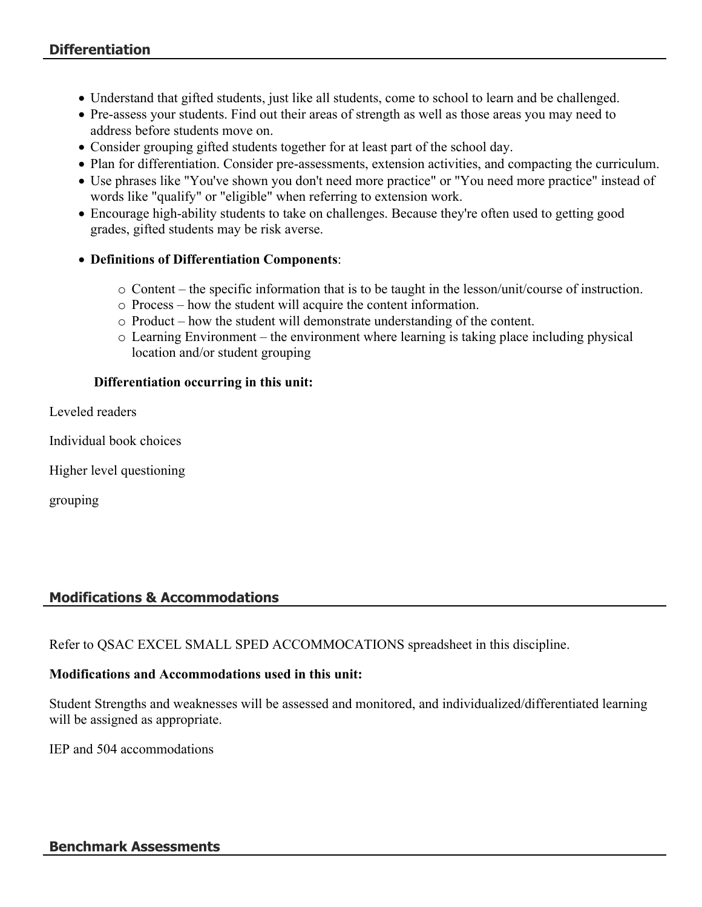- Understand that gifted students, just like all students, come to school to learn and be challenged.
- Pre-assess your students. Find out their areas of strength as well as those areas you may need to address before students move on.
- Consider grouping gifted students together for at least part of the school day.
- Plan for differentiation. Consider pre-assessments, extension activities, and compacting the curriculum.
- Use phrases like "You've shown you don't need more practice" or "You need more practice" instead of words like "qualify" or "eligible" when referring to extension work.
- Encourage high-ability students to take on challenges. Because they're often used to getting good grades, gifted students may be risk averse.
- **Definitions of Differentiation Components**:
	- o Content the specific information that is to be taught in the lesson/unit/course of instruction.
	- o Process how the student will acquire the content information.
	- o Product how the student will demonstrate understanding of the content.
	- o Learning Environment the environment where learning is taking place including physical location and/or student grouping

#### **Differentiation occurring in this unit:**

Leveled readers

Individual book choices

Higher level questioning

grouping

# **Modifications & Accommodations**

Refer to QSAC EXCEL SMALL SPED ACCOMMOCATIONS spreadsheet in this discipline.

#### **Modifications and Accommodations used in this unit:**

Student Strengths and weaknesses will be assessed and monitored, and individualized/differentiated learning will be assigned as appropriate.

IEP and 504 accommodations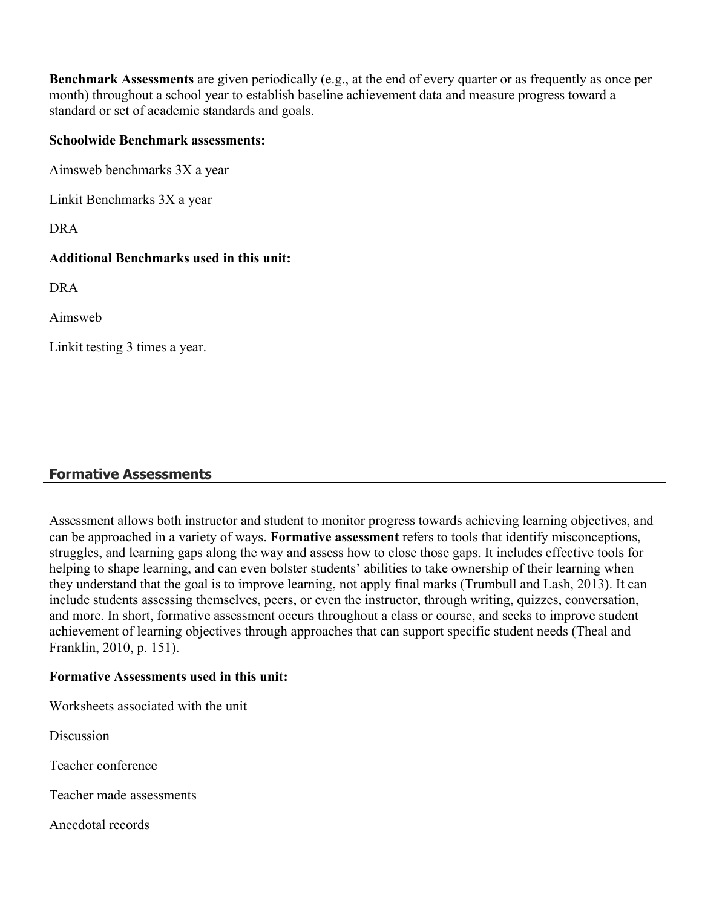**Benchmark Assessments** are given periodically (e.g., at the end of every quarter or as frequently as once per month) throughout a school year to establish baseline achievement data and measure progress toward a standard or set of academic standards and goals.

#### **Schoolwide Benchmark assessments:**

Aimsweb benchmarks 3X a year

Linkit Benchmarks 3X a year

DRA

#### **Additional Benchmarks used in this unit:**

DRA

Aimsweb

Linkit testing 3 times a year.

# **Formative Assessments**

Assessment allows both instructor and student to monitor progress towards achieving learning objectives, and can be approached in a variety of ways. **Formative assessment** refers to tools that identify misconceptions, struggles, and learning gaps along the way and assess how to close those gaps. It includes effective tools for helping to shape learning, and can even bolster students' abilities to take ownership of their learning when they understand that the goal is to improve learning, not apply final marks (Trumbull and Lash, 2013). It can include students assessing themselves, peers, or even the instructor, through writing, quizzes, conversation, and more. In short, formative assessment occurs throughout a class or course, and seeks to improve student achievement of learning objectives through approaches that can support specific student needs (Theal and Franklin, 2010, p. 151).

#### **Formative Assessments used in this unit:**

Worksheets associated with the unit

**Discussion** 

Teacher conference

Teacher made assessments

Anecdotal records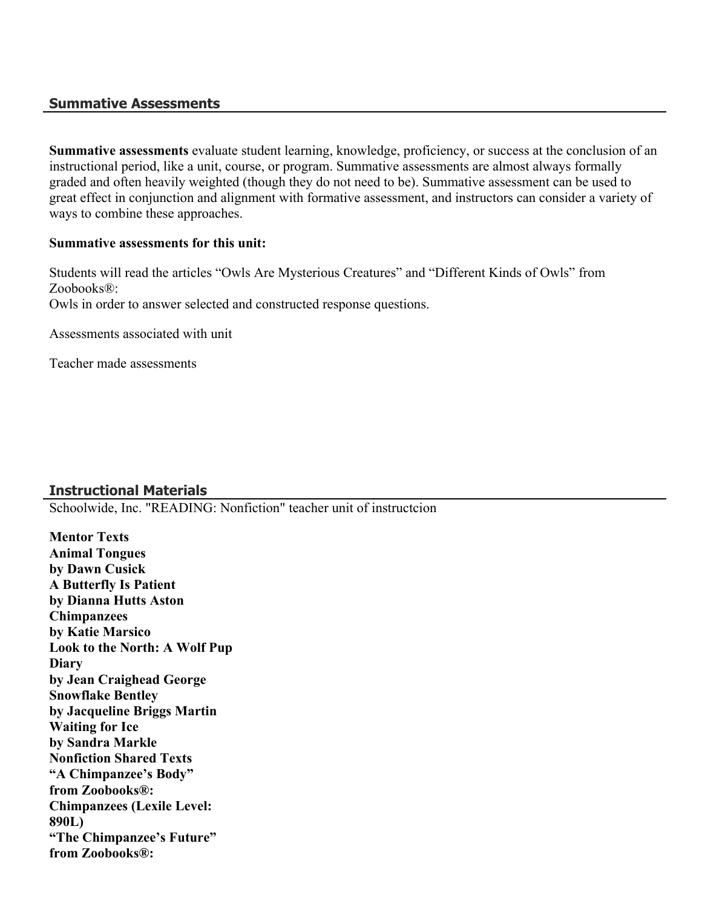#### **Summative Assessments**

**Summative assessments** evaluate student learning, knowledge, proficiency, or success at the conclusion of an instructional period, like a unit, course, or program. Summative assessments are almost always formally graded and often heavily weighted (though they do not need to be). Summative assessment can be used to great effect in conjunction and alignment with formative assessment, and instructors can consider a variety of ways to combine these approaches.

#### **Summative assessments for this unit:**

Students will read the articles "Owls Are Mysterious Creatures" and "Different Kinds of Owls" from Zoobooks®: Owls in order to answer selected and constructed response questions.

Assessments associated with unit

Teacher made assessments

# **Instructional Materials**

Schoolwide, Inc. "READING: Nonfiction" teacher unit of instructcion

**Mentor Texts Animal Tongues by Dawn Cusick A Butterfly Is Patient by Dianna Hutts Aston Chimpanzees by Katie Marsico Look to the North: A Wolf Pup Diary by Jean Craighead George Snowflake Bentley by Jacqueline Briggs Martin Waiting for Ice by Sandra Markle Nonfiction Shared Texts "A Chimpanzee's Body" from Zoobooks®: Chimpanzees (Lexile Level: 890L) "The Chimpanzee's Future" from Zoobooks®:**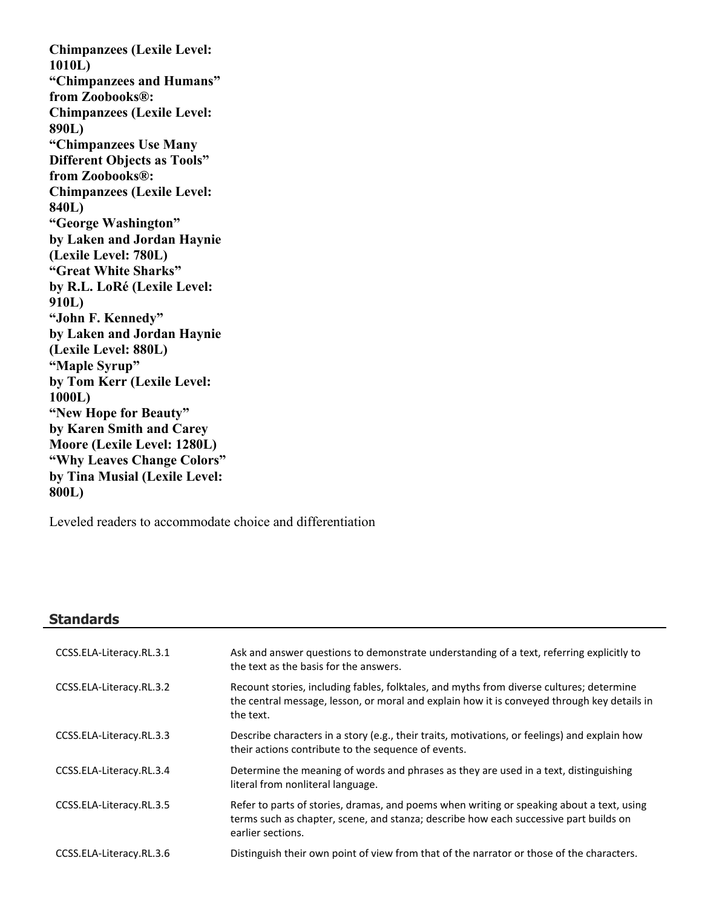**Chimpanzees (Lexile Level: 1010L) "Chimpanzees and Humans" from Zoobooks®: Chimpanzees (Lexile Level: 890L) "Chimpanzees Use Many Different Objects as Tools" from Zoobooks®: Chimpanzees (Lexile Level: 840L) "George Washington" by Laken and Jordan Haynie (Lexile Level: 780L) "Great White Sharks" by R.L. LoRé (Lexile Level: 910L) "John F. Kennedy" by Laken and Jordan Haynie (Lexile Level: 880L) "Maple Syrup" by Tom Kerr (Lexile Level: 1000L) "New Hope for Beauty" by Karen Smith and Carey Moore (Lexile Level: 1280L) "Why Leaves Change Colors" by Tina Musial (Lexile Level: 800L)**

Leveled readers to accommodate choice and differentiation

#### **Standards**

| CCSS.ELA-Literacy.RL.3.1 | Ask and answer questions to demonstrate understanding of a text, referring explicitly to<br>the text as the basis for the answers.                                                                      |
|--------------------------|---------------------------------------------------------------------------------------------------------------------------------------------------------------------------------------------------------|
| CCSS.ELA-Literacy.RL.3.2 | Recount stories, including fables, folktales, and myths from diverse cultures; determine<br>the central message, lesson, or moral and explain how it is conveyed through key details in<br>the text.    |
| CCSS.ELA-Literacy.RL.3.3 | Describe characters in a story (e.g., their traits, motivations, or feelings) and explain how<br>their actions contribute to the sequence of events.                                                    |
| CCSS.ELA-Literacy.RL.3.4 | Determine the meaning of words and phrases as they are used in a text, distinguishing<br>literal from nonliteral language.                                                                              |
| CCSS.ELA-Literacy.RL.3.5 | Refer to parts of stories, dramas, and poems when writing or speaking about a text, using<br>terms such as chapter, scene, and stanza; describe how each successive part builds on<br>earlier sections. |
| CCSS.ELA-Literacy.RL.3.6 | Distinguish their own point of view from that of the narrator or those of the characters.                                                                                                               |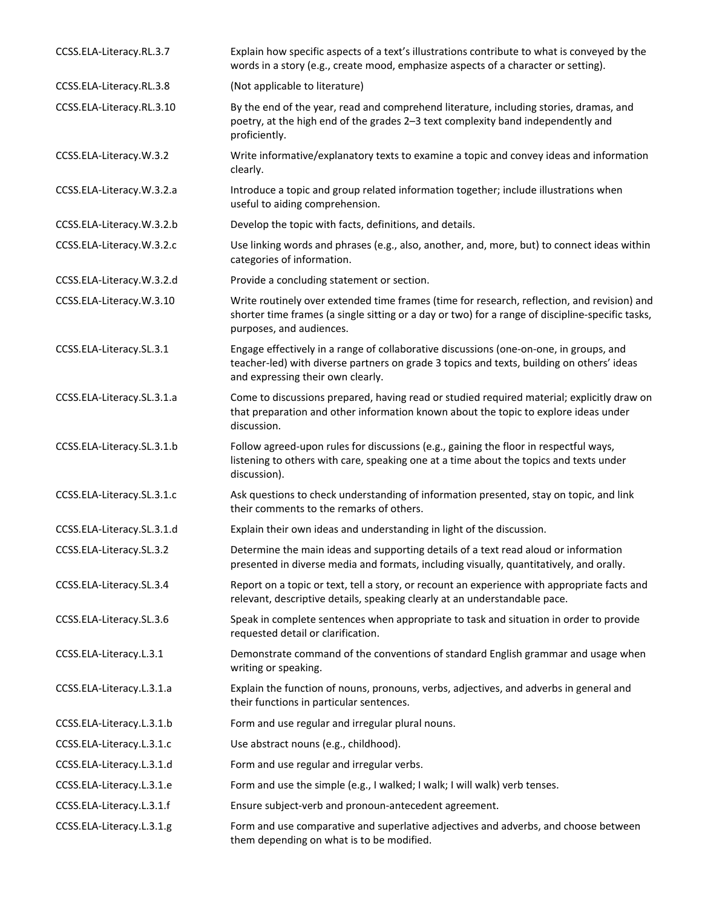| CCSS.ELA-Literacy.RL.3.7   | Explain how specific aspects of a text's illustrations contribute to what is conveyed by the<br>words in a story (e.g., create mood, emphasize aspects of a character or setting).                                          |
|----------------------------|-----------------------------------------------------------------------------------------------------------------------------------------------------------------------------------------------------------------------------|
| CCSS.ELA-Literacy.RL.3.8   | (Not applicable to literature)                                                                                                                                                                                              |
| CCSS.ELA-Literacy.RL.3.10  | By the end of the year, read and comprehend literature, including stories, dramas, and<br>poetry, at the high end of the grades 2-3 text complexity band independently and<br>proficiently.                                 |
| CCSS.ELA-Literacy.W.3.2    | Write informative/explanatory texts to examine a topic and convey ideas and information<br>clearly.                                                                                                                         |
| CCSS.ELA-Literacy.W.3.2.a  | Introduce a topic and group related information together; include illustrations when<br>useful to aiding comprehension.                                                                                                     |
| CCSS.ELA-Literacy.W.3.2.b  | Develop the topic with facts, definitions, and details.                                                                                                                                                                     |
| CCSS.ELA-Literacy.W.3.2.c  | Use linking words and phrases (e.g., also, another, and, more, but) to connect ideas within<br>categories of information.                                                                                                   |
| CCSS.ELA-Literacy.W.3.2.d  | Provide a concluding statement or section.                                                                                                                                                                                  |
| CCSS.ELA-Literacy.W.3.10   | Write routinely over extended time frames (time for research, reflection, and revision) and<br>shorter time frames (a single sitting or a day or two) for a range of discipline-specific tasks,<br>purposes, and audiences. |
| CCSS.ELA-Literacy.SL.3.1   | Engage effectively in a range of collaborative discussions (one-on-one, in groups, and<br>teacher-led) with diverse partners on grade 3 topics and texts, building on others' ideas<br>and expressing their own clearly.    |
| CCSS.ELA-Literacy.SL.3.1.a | Come to discussions prepared, having read or studied required material; explicitly draw on<br>that preparation and other information known about the topic to explore ideas under<br>discussion.                            |
| CCSS.ELA-Literacy.SL.3.1.b | Follow agreed-upon rules for discussions (e.g., gaining the floor in respectful ways,<br>listening to others with care, speaking one at a time about the topics and texts under<br>discussion).                             |
| CCSS.ELA-Literacy.SL.3.1.c | Ask questions to check understanding of information presented, stay on topic, and link<br>their comments to the remarks of others.                                                                                          |
| CCSS.ELA-Literacy.SL.3.1.d | Explain their own ideas and understanding in light of the discussion.                                                                                                                                                       |
| CCSS.ELA-Literacy.SL.3.2   | Determine the main ideas and supporting details of a text read aloud or information<br>presented in diverse media and formats, including visually, quantitatively, and orally.                                              |
| CCSS.ELA-Literacy.SL.3.4   | Report on a topic or text, tell a story, or recount an experience with appropriate facts and<br>relevant, descriptive details, speaking clearly at an understandable pace.                                                  |
| CCSS.ELA-Literacy.SL.3.6   | Speak in complete sentences when appropriate to task and situation in order to provide<br>requested detail or clarification.                                                                                                |
| CCSS.ELA-Literacy.L.3.1    | Demonstrate command of the conventions of standard English grammar and usage when<br>writing or speaking.                                                                                                                   |
| CCSS.ELA-Literacy.L.3.1.a  | Explain the function of nouns, pronouns, verbs, adjectives, and adverbs in general and<br>their functions in particular sentences.                                                                                          |
| CCSS.ELA-Literacy.L.3.1.b  | Form and use regular and irregular plural nouns.                                                                                                                                                                            |
| CCSS.ELA-Literacy.L.3.1.c  | Use abstract nouns (e.g., childhood).                                                                                                                                                                                       |
| CCSS.ELA-Literacy.L.3.1.d  | Form and use regular and irregular verbs.                                                                                                                                                                                   |
| CCSS.ELA-Literacy.L.3.1.e  | Form and use the simple (e.g., I walked; I walk; I will walk) verb tenses.                                                                                                                                                  |
| CCSS.ELA-Literacy.L.3.1.f  | Ensure subject-verb and pronoun-antecedent agreement.                                                                                                                                                                       |
| CCSS.ELA-Literacy.L.3.1.g  | Form and use comparative and superlative adjectives and adverbs, and choose between<br>them depending on what is to be modified.                                                                                            |